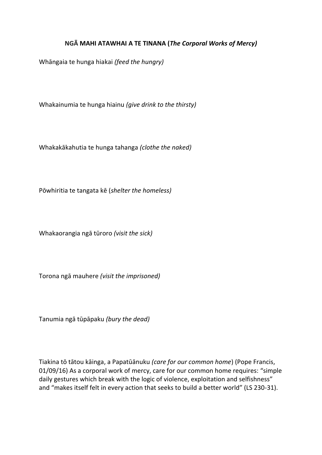## **NGĀ MAHI ATAWHAI A TE TINANA (***The Corporal Works of Mercy)*

Whāngaia te hunga hiakai *(feed the hungry)*

Whakainumia te hunga hiainu *(give drink to the thirsty)* 

Whakakākahutia te hunga tahanga *(clothe the naked)* 

Pōwhiritia te tangata kē (*shelter the homeless)*

Whakaorangia ngā tūroro *(visit the sick)*

Torona ngā mauhere *(visit the imprisoned)*

Tanumia ngā tūpāpaku *(bury the dead)*

Tiakina tō tātou kāinga, a Papatūānuku *(care for our common home*) (Pope Francis, 01/09/16) As a corporal work of mercy, care for our common home requires: "simple daily gestures which break with the logic of violence, exploitation and selfishness" and "makes itself felt in every action that seeks to build a better world" (LS 230-31).